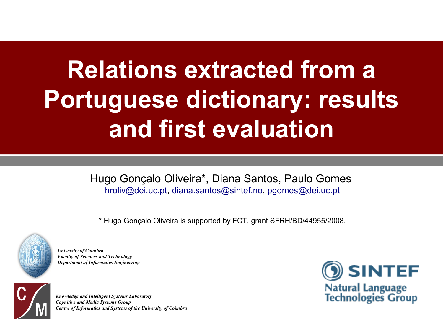# **Relations extracted from a Portuguese dictionary: results and first evaluation**

Hugo Gonçalo Oliveira\*, Diana Santos, Paulo Gomes [hroliv@dei.uc.pt,](mailto:hroliv@dei.uc.pt) [diana.santos@sintef.no](mailto:diana.santos@sintef.no), [pgomes@dei.uc.pt](mailto:pgomes@dei.uc.pt)

\* Hugo Gonçalo Oliveira is supported by FCT, grant SFRH/BD/44955/2008.



*University of Coimbra Faculty of Sciences and Technology Department of Informatics Engineering*



*Knowledge and Intelligent Systems Laboratory Cognitive and Media Systems Group Centre of Informatics and Systems of the University of Coimbra*

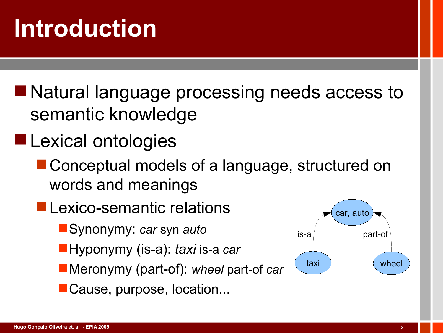■ Natural language processing needs access to semantic knowledge

- **Lexical ontologies** 
	- Conceptual models of a language, structured on words and meanings
	- **Lexico-semantic relations** 
		- Synonymy: *car* syn *auto*
		- Hyponymy (is-a): *taxi* is-a *car*
		- Meronymy (part-of): *wheel* part-of *car*
		- Cause, purpose, location...

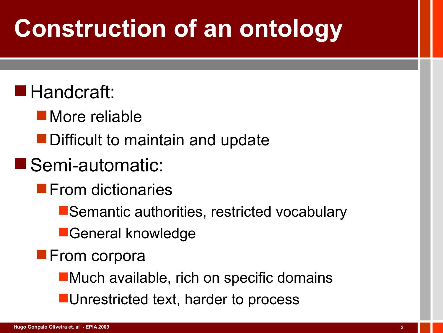# **Construction of an ontology**

### ■ Handcraft:

- **More reliable**
- **Difficult to maintain and update**

### Semi-automatic:

- **From dictionaries** 
	- Semantic authorities, restricted vocabulary
	- **General knowledge**
- **From corpora** 
	- **Nuch available, rich on specific domains**
	- **Unrestricted text, harder to process**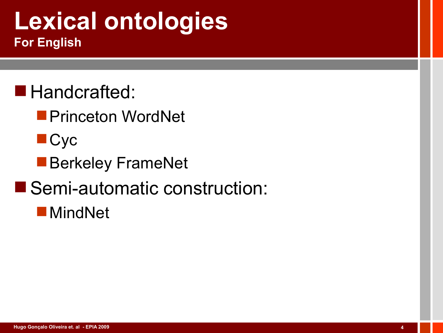### **Lexical ontologies For English**

- **Handcrafted:** 
	- **Princeton WordNet**
	- **Cyc**
	- **Berkeley FrameNet**
- Semi-automatic construction:
	- MindNet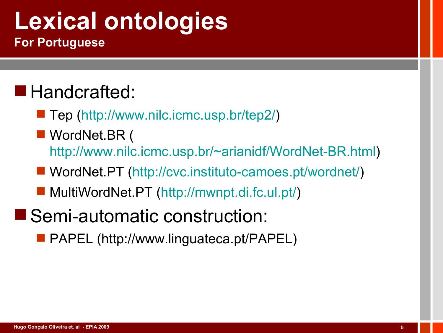# **Lexical ontologies**

**For Portuguese**

### Handcrafted:

- Tep ([http://www.nilc.icmc.usp.br/tep2/\)](http://www.nilc.icmc.usp.br/tep2/)
- WordNet.BR ( <http://www.nilc.icmc.usp.br/~arianidf/WordNet-BR.html>)
- WordNet.PT ([http://cvc.instituto-camoes.pt/wordnet/\)](http://cvc.instituto-camoes.pt/wordnet/)
- MultiWordNet.PT ([http://mwnpt.di.fc.ul.pt/\)](http://mwnpt.di.fc.ul.pt/)
- Semi-automatic construction:
	- **PAPEL (http://www.linguateca.pt/PAPEL)**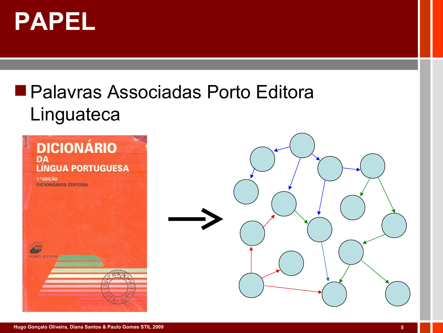

### ■ Palavras Associadas Porto Editora Linguateca

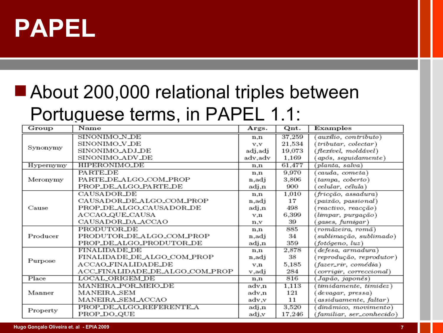

### ■ About 200,000 relational triples between Portuguese terms, in PAPEL 1.1:

| Group     | Name                            | Args.   | Qnt.   | Examples                  |  |  |  |
|-----------|---------------------------------|---------|--------|---------------------------|--|--|--|
| Synonymy  | SINONIMO_N_DE                   | n.n     | 37,259 | auxílio, contributo)      |  |  |  |
|           | SINONIMO_V_DE                   | v,v     | 21,534 | (tributar, colectar)      |  |  |  |
|           | SINONIMO_ADJ_DE                 | adj,adj | 19,073 | (flexível, moldável)      |  |  |  |
|           | SINONIMO_ADV_DE                 | adv,adv | 1,169  | após, seguidamente)       |  |  |  |
| Hypernymy | HIPERONIMO_DE                   | n.n     | 61,477 | (planta, salva)           |  |  |  |
|           | PARTE DE                        | n,n     | 9,970  | cauda, cometa)            |  |  |  |
| Meronymy  | PARTE_DE_ALGO_COM_PROP          | n.adi   | 3,806  | tampa, coberto)           |  |  |  |
|           | PROP_DE_ALGO_PARTE_DE           | adj,n   | 900    | celular, célula)          |  |  |  |
|           | CAUSADOR_DE                     | n,n     | 1,010  | (fricção, assadura)       |  |  |  |
| Cause     | CAUSADOR_DE_ALGO_COM_PROP       | n,adj   | 17     | (paixão, passional)       |  |  |  |
|           | PROP_DE_ALGO_CAUSADOR_DE        | adj.n   | 498    | reactivo, reacção)        |  |  |  |
|           | ACCAO_QUE_CAUSA                 | v.n     | 6,399  | (limpar, purgação)        |  |  |  |
|           | CAUSADOR_DA_ACCAO               | n.v     | 39     | (gases, fumigar)          |  |  |  |
|           | PRODUTOR_DE                     | n.n     | 885    | (romãzeira, romã)         |  |  |  |
| Producer  | PRODUTOR_DE_ALGO_COM_PROP       | n,adj   | 34     | sublimação, sublimado)    |  |  |  |
|           | PROP_DE_ALGO_PRODUTOR_DE        | adj,n   | 359    | (fotógeno, luz)           |  |  |  |
| Purpose   | <b>FINALIDADE_DE</b>            | n,n     | 2,878  | defesa, armadura)         |  |  |  |
|           | FINALIDADE_DE_ALGO_COM_PROP     | n,adj   | 38     | (reprodução, reprodutor)  |  |  |  |
|           | ACCAO_FINALIDADE_DE             | v.n     | 5,185  | (fazer_rir, comédia)      |  |  |  |
|           | ACC_FINALIDADE_DE_ALGO_COM_PROP | v.adj   | 284    | corrigir, correccional)   |  |  |  |
| Place     | LOCAL_ORIGEM_DE                 | n,n     | 816    | Japão, japonês)           |  |  |  |
| Manner    | MANEIRA_POR_MEIO_DE             | adv,n   | 1,113  | (timidamente, timidez)    |  |  |  |
|           | MANEIRA_SEM                     | adv,n   | 121    | devagar, pressa)          |  |  |  |
|           | MANEIRA_SEM_ACCAO               | adv.v   | 11     | assiduamente, faltar)     |  |  |  |
| Property  | PROP_DE_ALGO_REFERENTE_A        | adj,n   | 3,520  | dinâmico, movimento)      |  |  |  |
|           | PROP_DO_QUE                     | adj,v   | 17,246 | (familiar, ser_conhecido) |  |  |  |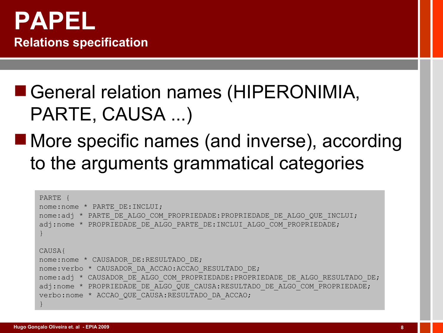

### ■ General relation names (HIPERONIMIA, PARTE, CAUSA ...)

### ■ More specific names (and inverse), according to the arguments grammatical categories

```
PARTE {
nome:nome * PARTE_DE:INCLUI;
nome:adj * PARTE_DE_ALGO_COM_PROPRIEDADE:PROPRIEDADE_DE_ALGO_QUE_INCLUI;
adj:nome * PROPRIEDADE DE ALGO PARTE DE:INCLUI ALGO COM PROPRIEDADE;
}
CAUSA{
nome:nome * CAUSADOR DE:RESULTADO DE;
nome:verbo * CAUSADOR_DA_ACCAO:ACCAO_RESULTADO_DE;
nome:adj * CAUSADOR_DE_ALGO_COM_PROPRIEDADE:PROPRIEDADE_DE_ALGO_RESULTADO_DE;
adj:nome * PROPRIEDADE DE ALGO QUE CAUSA:RESULTADO DE ALGO COM PROPRIEDADE;
verbo:nome * ACCAO_QUE_CAUSA:RESULTADO_DA_ACCAO;
}
```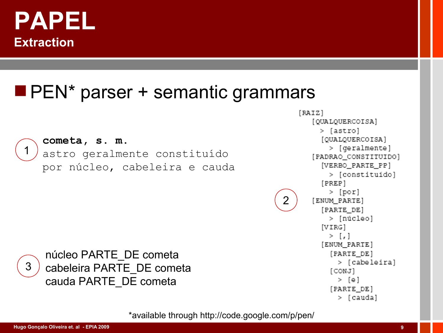

#### **PEN\*** parser + semantic grammars



3

#### **cometa, s. m.** astro geralmente constituído

núcleo PARTE\_DE cometa

cauda PARTE\_DE cometa

cabeleira PARTE\_DE cometa

por núcleo, cabeleira e cauda

[QUALQUERCOISA] > [astro] [OUALQUERCOISA] > [geralmente] [PADRAO CONSTITUIDO] [VERBO PARTE PP] > [constituído] [PREP] > [por] 2 [ENUM\_PARTE] [PARTE DE] > [núcleo]  $[VIRG]$  $>$  [,] [ENUM\_PARTE] [PARTE\_DE] > [cabeleira] [CONJ] > [e] [PARTE\_DE] > [cauda]

 $[RAIZ]$ 

\*available through http://code.google.com/p/pen/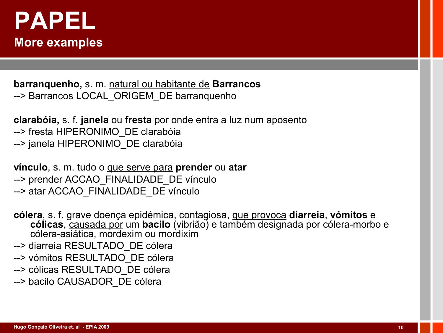

**barranquenho,** s. m. natural ou habitante de **Barrancos** -- > Barrancos LOCAL ORIGEM DE barranquenho

**clarabóia,** s. f. **janela** ou **fresta** por onde entra a luz num aposento --> fresta HIPERONIMO\_DE clarabóia --> janela HIPERONIMO\_DE clarabóia

**vínculo**, s. m. tudo o que serve para **prender** ou **atar** --> prender ACCAO\_FINALIDADE\_DE vínculo -- > atar ACCAO FINALIDADE\_DE vínculo

**cólera**, s. f. grave doença epidémica, contagiosa, que provoca **diarreia**, **vómitos** e **cólicas**, causada por um **bacilo** (vibrião) e também designada por cólera-morbo e cólera-asiática, mordexim ou mordixim

--> diarreia RESULTADO\_DE cólera

- --> vómitos RESULTADO\_DE cólera
- --> cólicas RESULTADO\_DE cólera
- -- > bacilo CAUSADOR DE cólera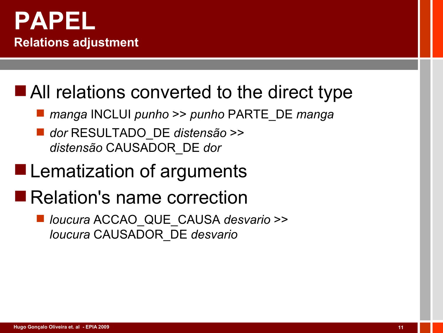

#### ■ All relations converted to the direct type

- *manga* INCLUI *punho* >> *punho* PARTE\_DE *manga*
- *dor* RESULTADO\_DE *distensão* >> *distensão* CAUSADOR\_DE *dor*

### **Lematization of arguments**

### Relation's name correction

 *loucura* ACCAO\_QUE\_CAUSA *desvario* >> *loucura* CAUSADOR\_DE *desvario*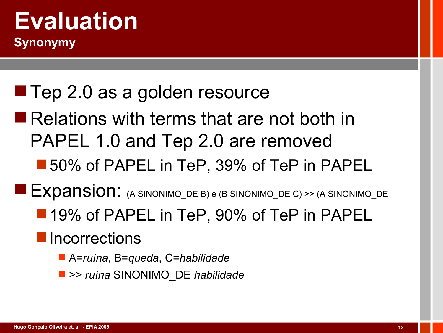#### **Evaluation Synonymy**

## ■ Tep 2.0 as a golden resource

- Relations with terms that are not both in PAPEL 1.0 and Tep 2.0 are removed
	- ■50% of PAPEL in TeP, 39% of TeP in PAPEL

Expansion: (A SINONIMO\_DE B) e (B SINONIMO\_DE C) >> (A SINONIMO\_DE

■ 19% of PAPEL in TeP, 90% of TeP in PAPEL

#### **Incorrections**

- A=*ruína*, B=*queda*, C=*habilidade*
- >> *ruína* SINONIMO\_DE *habilidade*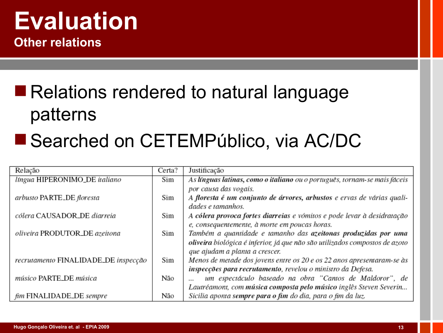#### **Evaluation Other relations**

# ■ Relations rendered to natural language patterns

#### ■ Searched on CETEMPúblico, via AC/DC

| Relação                              | Certa? | Justificação                                                                |
|--------------------------------------|--------|-----------------------------------------------------------------------------|
| ltngua HIPERONIMO_DE italiano        | Sim    | As línguas latinas, como o italiano ou o português, tornam-se mais fáceis   |
|                                      |        | por causa das vogais.                                                       |
| arbusto PARTE_DE floresta            | Sim    | A floresta é um conjunto de árvores, arbustos e ervas de várias quali-      |
|                                      |        | dades e tamanhos.                                                           |
| cólera CAUSADOR_DE diarreia          | Sim    | A cólera provoca fortes diarreias e vómitos e pode levar à desidratação     |
|                                      |        | e, consequentemente, à morte em poucas horas.                               |
| oliveira PRODUTOR_DE azeitona        | Sim    | Também a quantidade e tamanho das azeitonas produzidas por uma              |
|                                      |        | oliveira biológica é inferior, já que não são utilizados compostos de azoto |
|                                      |        | que ajudam a planta a crescer.                                              |
| recrutamento FINALIDADE_DE inspecção | Sim    | Menos de metade dos jovens entre os 20 e os 22 anos apresentaram-se às      |
|                                      |        | inspecções para recrutamento, revelou o ministro da Defesa.                 |
| músico PARTE_DE música               | Não    | um espectáculo baseado na obra "Cantos de Maldoror", de                     |
|                                      |        | Lautréamont, com música composta pelo músico inglês Steven Severin          |
| fim FINALIDADE_DE sempre             | Não    | Sicilia aponta sempre para o fim do dia, para o fim da luz.                 |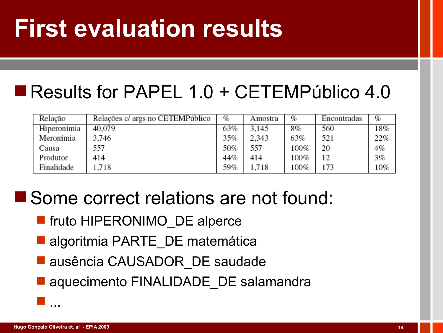# **First evaluation results**

#### Results for PAPEL 1.0 + CETEMPúblico 4.0

| Relação     | Relações c/ args no CETEMPúblico | %   | Amostra | %    | Encontradas | %   |
|-------------|----------------------------------|-----|---------|------|-------------|-----|
| Hiperonímia | 40,079                           | 63% | 3.145   | 8%   | 560         | 18% |
| Meronímia   | 3,746                            | 35% | 2,343   | 63%  | 521         | 22% |
| Causa       | 557                              | 50% | 557     | 100% | 20          | 4%  |
| Produtor    | 414                              | 44% | 414     | 100% | 12          | 3%  |
| Finalidade  | .718                             | 59% | 1,718   | 100% | 173         | 10% |

#### Some correct relations are not found:

- **F** fruto HIPERONIMO DE alperce
- algoritmia PARTE DE matemática
- **Lausência CAUSADOR DE saudade**
- **a** aquecimento FINALIDADE DE salamandra

...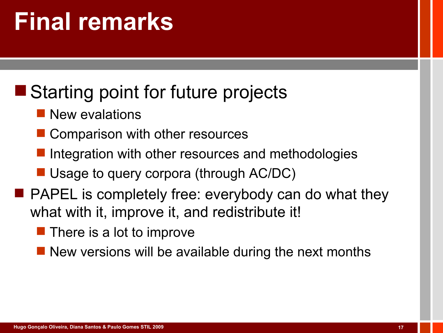# **Final remarks**

### ■ Starting point for future projects

- **New evalations**
- **Comparison with other resources**
- Integration with other resources and methodologies
- Usage to query corpora (through AC/DC)
- **PAPEL** is completely free: everybody can do what they what with it, improve it, and redistribute it!
	- $\blacksquare$  There is a lot to improve
	- **New versions will be available during the next months**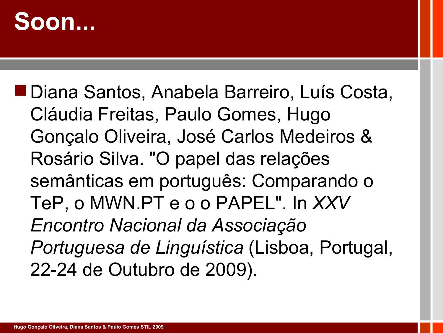# **Soon...**

■ Diana Santos, Anabela Barreiro, Luís Costa, Cláudia Freitas, Paulo Gomes, Hugo Gonçalo Oliveira, José Carlos Medeiros & Rosário Silva. "O papel das relações semânticas em português: Comparando o TeP, o MWN.PT e o o PAPEL". In *XXV Encontro Nacional da Associação Portuguesa de Linguística* (Lisboa, Portugal, 22-24 de Outubro de 2009).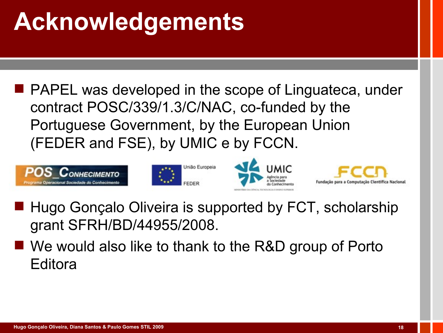# **Acknowledgements**

**PAPEL was developed in the scope of Linguateca, under** contract POSC/339/1.3/C/NAC, co-funded by the Portuguese Government, by the European Union (FEDER and FSE), by UMIC e by FCCN.









- Hugo Gonçalo Oliveira is supported by FCT, scholarship grant SFRH/BD/44955/2008.
- We would also like to thank to the R&D group of Porto Editora